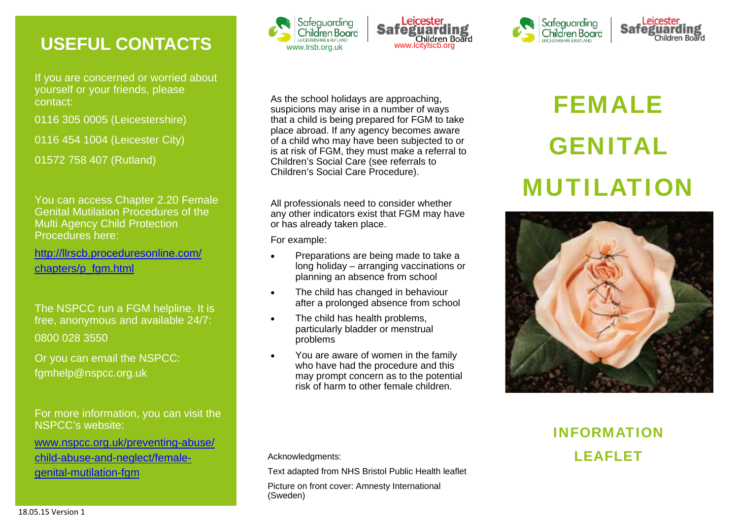# **USEFUL CONTACTS**

If you are concerned or worried about yourself or your friends, please contact:

0116 305 0005 (Leicestershire)

0116 454 1004 (Leicester City)

01572 758 407 (Rutland)

You can access Chapter 2.20 Female Genital Mutilation Procedures of the Multi Agency Child Protection Procedures here:

http://llrscb.proceduresonline.com/ chapters/p\_fgm.html

The NSPCC run a FGM helpline. It is free, anonymous and available 24/7: 0800 028 3550

Or you can email the NSPCC: fgmhelp@nspcc.org.uk

For more information, you can visit the NSPCC's website:

www.nspcc.org.uk/preventing-abuse/ child-abuse-and-neglect/femalechild-abuse-and-neglect/female-<br>
Text adapted from NHS Bristol Public Health leaflet<br>
Text adapted from NHS Bristol Public Health leaflet







All professionals need to consider whether any other indicators exist that FGM may have or has already taken place.

For example:

- $\bullet$  Preparations are being made to take a long holiday – arranging vaccinations or planning an absence from school
- $\bullet$  The child has changed in behaviour after a prolonged absence from school
- $\bullet$  The child has health problems, particularly bladder or menstrual problems
- $\bullet$  You are aware of women in the family who have had the procedure and this may prompt concern as to the potential risk of harm to other female children.

# FEMALE GENITAL MUTILATION

**Safeguardi** 

Children Board

Safeguarding

Children Board



# INFORMATION LEAFLET

Picture on front cover: Amnesty International (Sweden)